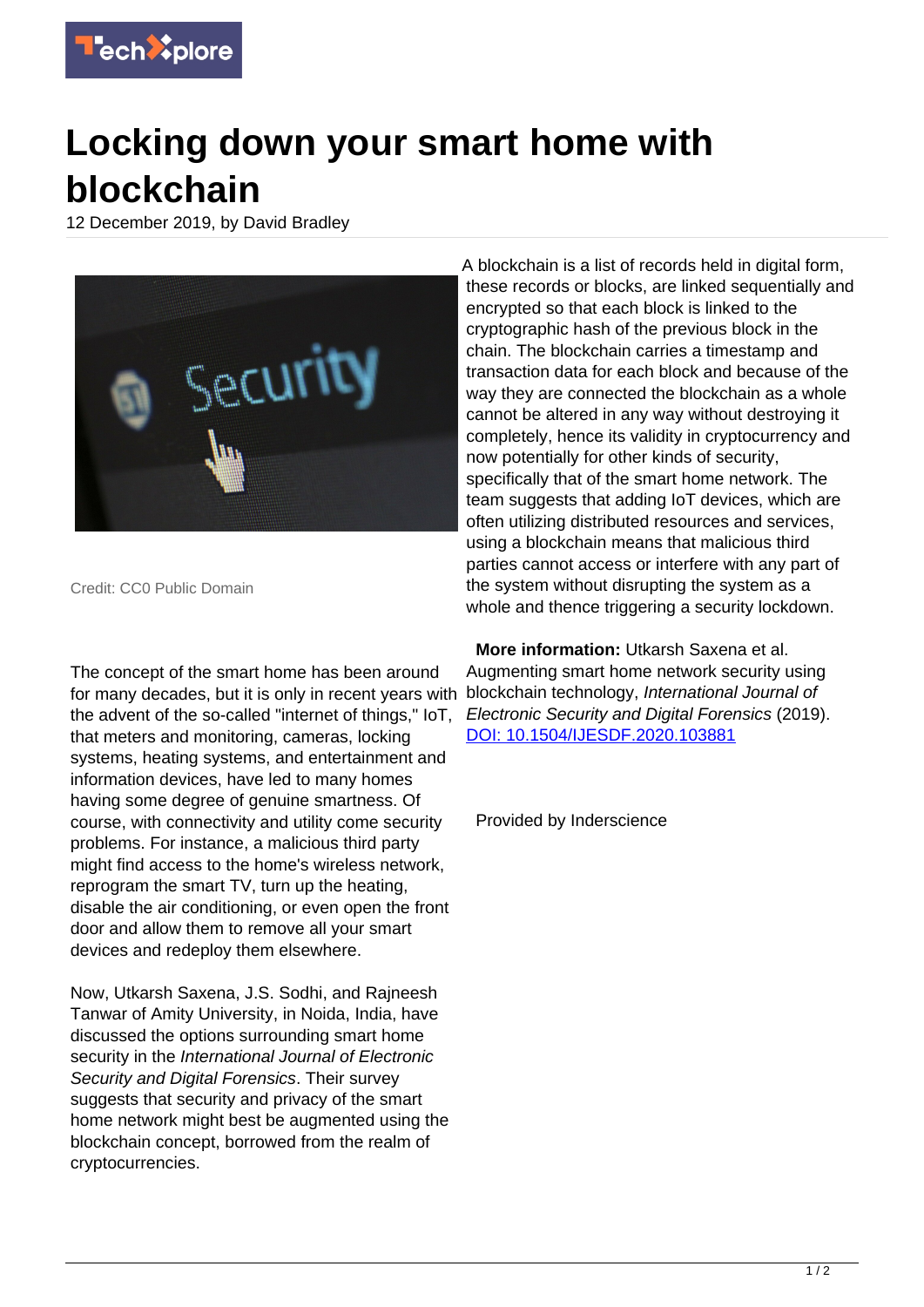

## **Locking down your smart home with blockchain**

12 December 2019, by David Bradley



Credit: CC0 Public Domain

The concept of the smart home has been around for many decades, but it is only in recent years with the advent of the so-called "internet of things," IoT, that meters and monitoring, cameras, locking systems, heating systems, and entertainment and information devices, have led to many homes having some degree of genuine smartness. Of course, with connectivity and utility come security problems. For instance, a malicious third party might find access to the home's wireless network, reprogram the smart TV, turn up the heating, disable the air conditioning, or even open the front door and allow them to remove all your smart devices and redeploy them elsewhere.

Now, Utkarsh Saxena, J.S. Sodhi, and Rajneesh Tanwar of Amity University, in Noida, India, have discussed the options surrounding smart home security in the International Journal of Electronic Security and Digital Forensics. Their survey suggests that security and privacy of the smart home network might best be augmented using the blockchain concept, borrowed from the realm of cryptocurrencies.

A blockchain is a list of records held in digital form. these records or blocks, are linked sequentially and encrypted so that each block is linked to the cryptographic hash of the previous block in the chain. The blockchain carries a timestamp and transaction data for each block and because of the way they are connected the blockchain as a whole cannot be altered in any way without destroying it completely, hence its validity in cryptocurrency and now potentially for other kinds of security, specifically that of the smart home network. The team suggests that adding IoT devices, which are often utilizing distributed resources and services, using a blockchain means that malicious third parties cannot access or interfere with any part of the system without disrupting the system as a whole and thence triggering a security lockdown.

 **More information:** Utkarsh Saxena et al. Augmenting smart home network security using blockchain technology, International Journal of Electronic Security and Digital Forensics (2019). [DOI: 10.1504/IJESDF.2020.103881](http://dx.doi.org/10.1504/IJESDF.2020.103881)

Provided by Inderscience